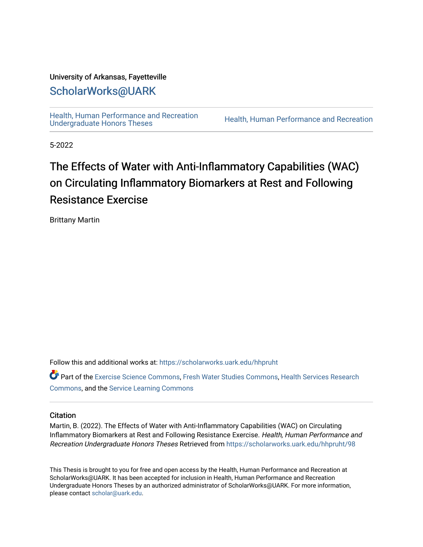## University of Arkansas, Fayetteville

## [ScholarWorks@UARK](https://scholarworks.uark.edu/)

[Health, Human Performance and Recreation](https://scholarworks.uark.edu/hhpruht) 

Health, Human Performance and Recreation

5-2022

# The Effects of Water with Anti-Inflammatory Capabilities (WAC) on Circulating Inflammatory Biomarkers at Rest and Following Resistance Exercise

Brittany Martin

Follow this and additional works at: [https://scholarworks.uark.edu/hhpruht](https://scholarworks.uark.edu/hhpruht?utm_source=scholarworks.uark.edu%2Fhhpruht%2F98&utm_medium=PDF&utm_campaign=PDFCoverPages) 

Part of the [Exercise Science Commons](http://network.bepress.com/hgg/discipline/1091?utm_source=scholarworks.uark.edu%2Fhhpruht%2F98&utm_medium=PDF&utm_campaign=PDFCoverPages), [Fresh Water Studies Commons](http://network.bepress.com/hgg/discipline/189?utm_source=scholarworks.uark.edu%2Fhhpruht%2F98&utm_medium=PDF&utm_campaign=PDFCoverPages), [Health Services Research](http://network.bepress.com/hgg/discipline/816?utm_source=scholarworks.uark.edu%2Fhhpruht%2F98&utm_medium=PDF&utm_campaign=PDFCoverPages)  [Commons](http://network.bepress.com/hgg/discipline/816?utm_source=scholarworks.uark.edu%2Fhhpruht%2F98&utm_medium=PDF&utm_campaign=PDFCoverPages), and the [Service Learning Commons](http://network.bepress.com/hgg/discipline/1024?utm_source=scholarworks.uark.edu%2Fhhpruht%2F98&utm_medium=PDF&utm_campaign=PDFCoverPages)

## **Citation**

Martin, B. (2022). The Effects of Water with Anti-Inflammatory Capabilities (WAC) on Circulating Inflammatory Biomarkers at Rest and Following Resistance Exercise. Health, Human Performance and Recreation Undergraduate Honors Theses Retrieved from [https://scholarworks.uark.edu/hhpruht/98](https://scholarworks.uark.edu/hhpruht/98?utm_source=scholarworks.uark.edu%2Fhhpruht%2F98&utm_medium=PDF&utm_campaign=PDFCoverPages) 

This Thesis is brought to you for free and open access by the Health, Human Performance and Recreation at ScholarWorks@UARK. It has been accepted for inclusion in Health, Human Performance and Recreation Undergraduate Honors Theses by an authorized administrator of ScholarWorks@UARK. For more information, please contact [scholar@uark.edu](mailto:scholar@uark.edu).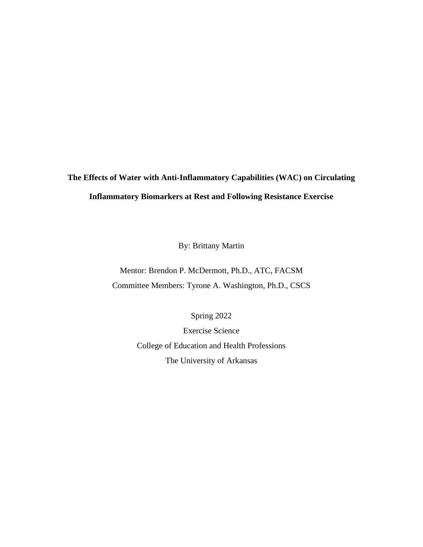## **The Effects of Water with Anti-Inflammatory Capabilities (WAC) on Circulating Inflammatory Biomarkers at Rest and Following Resistance Exercise**

By: Brittany Martin

Mentor: Brendon P. McDermott, Ph.D., ATC, FACSM Committee Members: Tyrone A. Washington, Ph.D., CSCS

Spring 2022

Exercise Science College of Education and Health Professions The University of Arkansas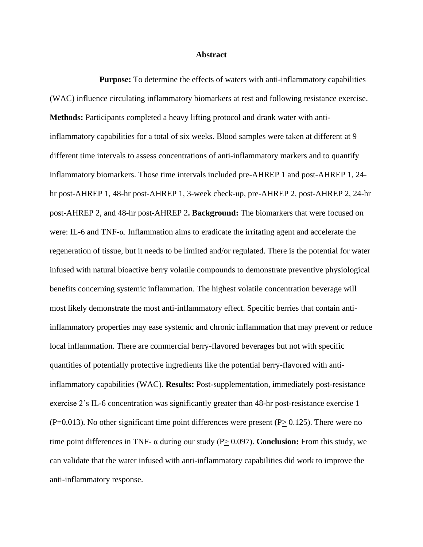#### **Abstract**

**Purpose:** To determine the effects of waters with anti-inflammatory capabilities (WAC) influence circulating inflammatory biomarkers at rest and following resistance exercise. **Methods:** Participants completed a heavy lifting protocol and drank water with antiinflammatory capabilities for a total of six weeks. Blood samples were taken at different at 9 different time intervals to assess concentrations of anti-inflammatory markers and to quantify inflammatory biomarkers. Those time intervals included pre-AHREP 1 and post-AHREP 1, 24 hr post-AHREP 1, 48-hr post-AHREP 1, 3-week check-up, pre-AHREP 2, post-AHREP 2, 24-hr post-AHREP 2, and 48-hr post-AHREP 2**. Background:** The biomarkers that were focused on were: IL-6 and TNF-α. Inflammation aims to eradicate the irritating agent and accelerate the regeneration of tissue, but it needs to be limited and/or regulated. There is the potential for water infused with natural bioactive berry volatile compounds to demonstrate preventive physiological benefits concerning systemic inflammation. The highest volatile concentration beverage will most likely demonstrate the most anti-inflammatory effect. Specific berries that contain antiinflammatory properties may ease systemic and chronic inflammation that may prevent or reduce local inflammation. There are commercial berry-flavored beverages but not with specific quantities of potentially protective ingredients like the potential berry-flavored with antiinflammatory capabilities (WAC). **Results:** Post-supplementation, immediately post-resistance exercise 2's IL-6 concentration was significantly greater than 48-hr post-resistance exercise 1  $(P=0.013)$ . No other significant time point differences were present  $(P> 0.125)$ . There were no time point differences in TNF- α during our study (P> 0.097). **Conclusion:** From this study, we can validate that the water infused with anti-inflammatory capabilities did work to improve the anti-inflammatory response.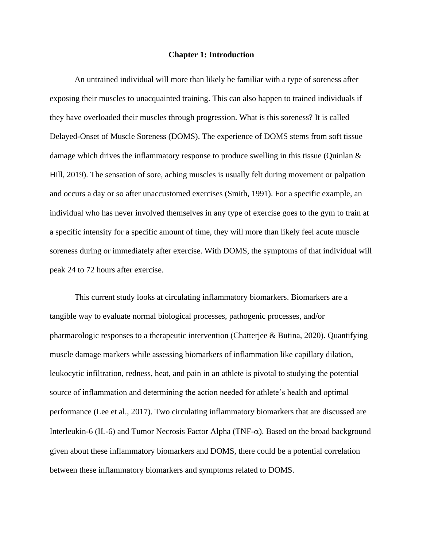#### **Chapter 1: Introduction**

An untrained individual will more than likely be familiar with a type of soreness after exposing their muscles to unacquainted training. This can also happen to trained individuals if they have overloaded their muscles through progression. What is this soreness? It is called Delayed-Onset of Muscle Soreness (DOMS). The experience of DOMS stems from soft tissue damage which drives the inflammatory response to produce swelling in this tissue (Quinlan & Hill, 2019). The sensation of sore, aching muscles is usually felt during movement or palpation and occurs a day or so after unaccustomed exercises (Smith, 1991). For a specific example, an individual who has never involved themselves in any type of exercise goes to the gym to train at a specific intensity for a specific amount of time, they will more than likely feel acute muscle soreness during or immediately after exercise. With DOMS, the symptoms of that individual will peak 24 to 72 hours after exercise.

This current study looks at circulating inflammatory biomarkers. Biomarkers are a tangible way to evaluate normal biological processes, pathogenic processes, and/or pharmacologic responses to a therapeutic intervention (Chatterjee & Butina, 2020). Quantifying muscle damage markers while assessing biomarkers of inflammation like capillary dilation, leukocytic infiltration, redness, heat, and pain in an athlete is pivotal to studying the potential source of inflammation and determining the action needed for athlete's health and optimal performance (Lee et al., 2017). Two circulating inflammatory biomarkers that are discussed are Interleukin-6 (IL-6) and Tumor Necrosis Factor Alpha (TNF- $\alpha$ ). Based on the broad background given about these inflammatory biomarkers and DOMS, there could be a potential correlation between these inflammatory biomarkers and symptoms related to DOMS.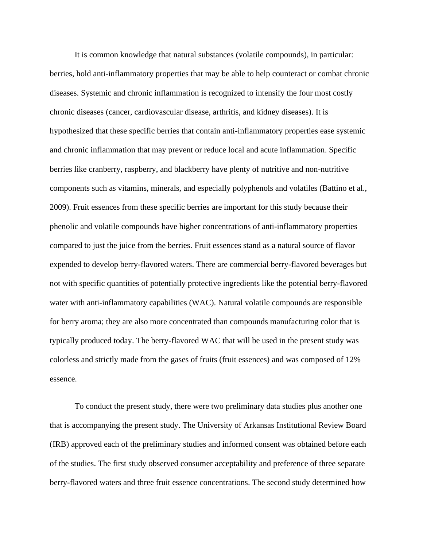It is common knowledge that natural substances (volatile compounds), in particular: berries, hold anti-inflammatory properties that may be able to help counteract or combat chronic diseases. Systemic and chronic inflammation is recognized to intensify the four most costly chronic diseases (cancer, cardiovascular disease, arthritis, and kidney diseases). It is hypothesized that these specific berries that contain anti-inflammatory properties ease systemic and chronic inflammation that may prevent or reduce local and acute inflammation. Specific berries like cranberry, raspberry, and blackberry have plenty of nutritive and non-nutritive components such as vitamins, minerals, and especially polyphenols and volatiles (Battino et al., 2009). Fruit essences from these specific berries are important for this study because their phenolic and volatile compounds have higher concentrations of anti-inflammatory properties compared to just the juice from the berries. Fruit essences stand as a natural source of flavor expended to develop berry-flavored waters. There are commercial berry-flavored beverages but not with specific quantities of potentially protective ingredients like the potential berry-flavored water with anti-inflammatory capabilities (WAC). Natural volatile compounds are responsible for berry aroma; they are also more concentrated than compounds manufacturing color that is typically produced today. The berry-flavored WAC that will be used in the present study was colorless and strictly made from the gases of fruits (fruit essences) and was composed of 12% essence.

To conduct the present study, there were two preliminary data studies plus another one that is accompanying the present study. The University of Arkansas Institutional Review Board (IRB) approved each of the preliminary studies and informed consent was obtained before each of the studies. The first study observed consumer acceptability and preference of three separate berry-flavored waters and three fruit essence concentrations. The second study determined how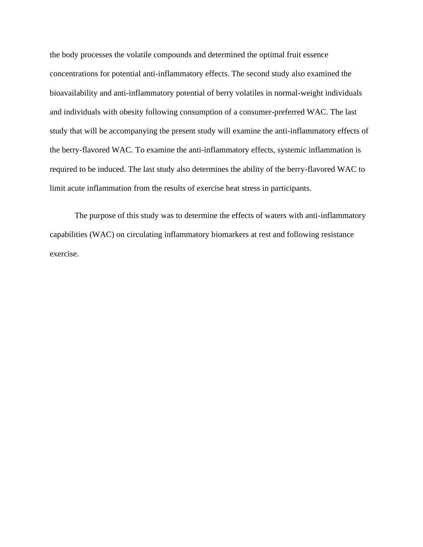the body processes the volatile compounds and determined the optimal fruit essence concentrations for potential anti-inflammatory effects. The second study also examined the bioavailability and anti-inflammatory potential of berry volatiles in normal-weight individuals and individuals with obesity following consumption of a consumer-preferred WAC. The last study that will be accompanying the present study will examine the anti-inflammatory effects of the berry-flavored WAC. To examine the anti-inflammatory effects, systemic inflammation is required to be induced. The last study also determines the ability of the berry-flavored WAC to limit acute inflammation from the results of exercise heat stress in participants.

The purpose of this study was to determine the effects of waters with anti-inflammatory capabilities (WAC) on circulating inflammatory biomarkers at rest and following resistance exercise.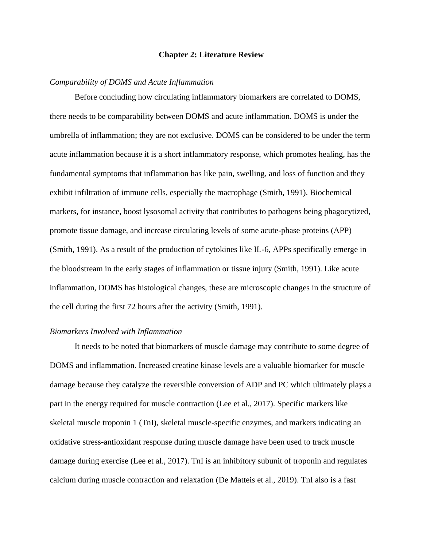#### **Chapter 2: Literature Review**

## *Comparability of DOMS and Acute Inflammation*

Before concluding how circulating inflammatory biomarkers are correlated to DOMS, there needs to be comparability between DOMS and acute inflammation. DOMS is under the umbrella of inflammation; they are not exclusive. DOMS can be considered to be under the term acute inflammation because it is a short inflammatory response, which promotes healing, has the fundamental symptoms that inflammation has like pain, swelling, and loss of function and they exhibit infiltration of immune cells, especially the macrophage (Smith, 1991). Biochemical markers, for instance, boost lysosomal activity that contributes to pathogens being phagocytized, promote tissue damage, and increase circulating levels of some acute-phase proteins (APP) (Smith, 1991). As a result of the production of cytokines like IL-6, APPs specifically emerge in the bloodstream in the early stages of inflammation or tissue injury (Smith, 1991). Like acute inflammation, DOMS has histological changes, these are microscopic changes in the structure of the cell during the first 72 hours after the activity (Smith, 1991).

### *Biomarkers Involved with Inflammation*

It needs to be noted that biomarkers of muscle damage may contribute to some degree of DOMS and inflammation. Increased creatine kinase levels are a valuable biomarker for muscle damage because they catalyze the reversible conversion of ADP and PC which ultimately plays a part in the energy required for muscle contraction (Lee et al., 2017). Specific markers like skeletal muscle troponin 1 (TnI), skeletal muscle-specific enzymes, and markers indicating an oxidative stress-antioxidant response during muscle damage have been used to track muscle damage during exercise (Lee et al., 2017). TnI is an inhibitory subunit of troponin and regulates calcium during muscle contraction and relaxation (De Matteis et al., 2019). TnI also is a fast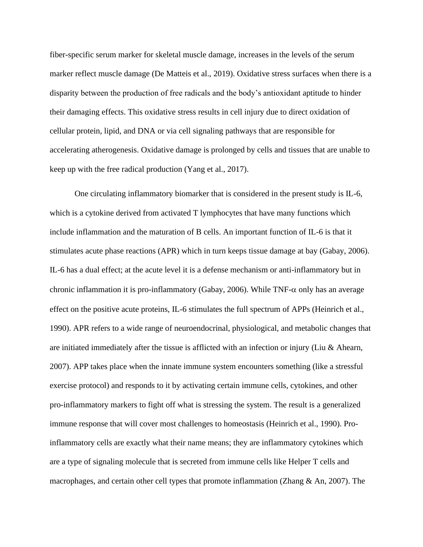fiber-specific serum marker for skeletal muscle damage, increases in the levels of the serum marker reflect muscle damage (De Matteis et al., 2019). Oxidative stress surfaces when there is a disparity between the production of free radicals and the body's antioxidant aptitude to hinder their damaging effects. This oxidative stress results in cell injury due to direct oxidation of cellular protein, lipid, and DNA or via cell signaling pathways that are responsible for accelerating atherogenesis. Oxidative damage is prolonged by cells and tissues that are unable to keep up with the free radical production (Yang et al., 2017).

One circulating inflammatory biomarker that is considered in the present study is IL-6, which is a cytokine derived from activated T lymphocytes that have many functions which include inflammation and the maturation of B cells. An important function of IL-6 is that it stimulates acute phase reactions (APR) which in turn keeps tissue damage at bay (Gabay, 2006). IL-6 has a dual effect; at the acute level it is a defense mechanism or anti-inflammatory but in chronic inflammation it is pro-inflammatory (Gabay, 2006). While TNF- $\alpha$  only has an average effect on the positive acute proteins, IL-6 stimulates the full spectrum of APPs (Heinrich et al., 1990). APR refers to a wide range of neuroendocrinal, physiological, and metabolic changes that are initiated immediately after the tissue is afflicted with an infection or injury (Liu & Ahearn, 2007). APP takes place when the innate immune system encounters something (like a stressful exercise protocol) and responds to it by activating certain immune cells, cytokines, and other pro-inflammatory markers to fight off what is stressing the system. The result is a generalized immune response that will cover most challenges to homeostasis (Heinrich et al., 1990). Proinflammatory cells are exactly what their name means; they are inflammatory cytokines which are a type of signaling molecule that is secreted from immune cells like Helper T cells and macrophages, and certain other cell types that promote inflammation (Zhang & An, 2007). The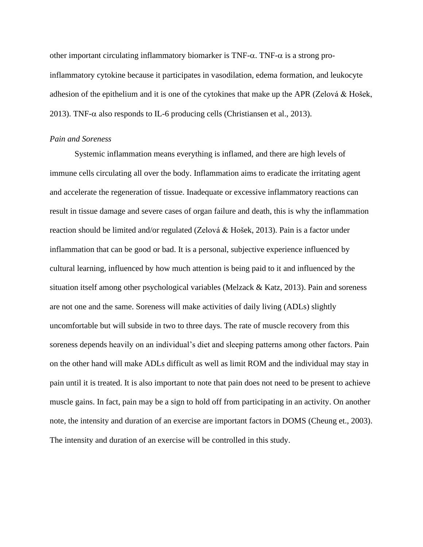other important circulating inflammatory biomarker is  $TNF-\alpha$ . TNF- $\alpha$  is a strong proinflammatory cytokine because it participates in vasodilation, edema formation, and leukocyte adhesion of the epithelium and it is one of the cytokines that make up the APR (Zelová & Hošek, 2013). TNF- $\alpha$  also responds to IL-6 producing cells (Christiansen et al., 2013).

## *Pain and Soreness*

Systemic inflammation means everything is inflamed, and there are high levels of immune cells circulating all over the body. Inflammation aims to eradicate the irritating agent and accelerate the regeneration of tissue. Inadequate or excessive inflammatory reactions can result in tissue damage and severe cases of organ failure and death, this is why the inflammation reaction should be limited and/or regulated (Zelová & Hošek, 2013). Pain is a factor under inflammation that can be good or bad. It is a personal, subjective experience influenced by cultural learning, influenced by how much attention is being paid to it and influenced by the situation itself among other psychological variables (Melzack & Katz, 2013). Pain and soreness are not one and the same. Soreness will make activities of daily living (ADLs) slightly uncomfortable but will subside in two to three days. The rate of muscle recovery from this soreness depends heavily on an individual's diet and sleeping patterns among other factors. Pain on the other hand will make ADLs difficult as well as limit ROM and the individual may stay in pain until it is treated. It is also important to note that pain does not need to be present to achieve muscle gains. In fact, pain may be a sign to hold off from participating in an activity. On another note, the intensity and duration of an exercise are important factors in DOMS (Cheung et., 2003). The intensity and duration of an exercise will be controlled in this study.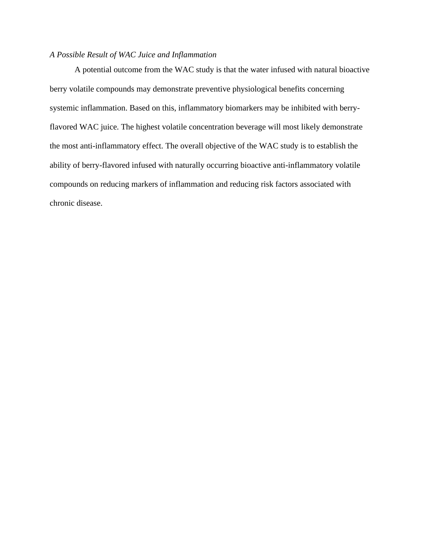## *A Possible Result of WAC Juice and Inflammation*

A potential outcome from the WAC study is that the water infused with natural bioactive berry volatile compounds may demonstrate preventive physiological benefits concerning systemic inflammation. Based on this, inflammatory biomarkers may be inhibited with berryflavored WAC juice. The highest volatile concentration beverage will most likely demonstrate the most anti-inflammatory effect. The overall objective of the WAC study is to establish the ability of berry-flavored infused with naturally occurring bioactive anti-inflammatory volatile compounds on reducing markers of inflammation and reducing risk factors associated with chronic disease.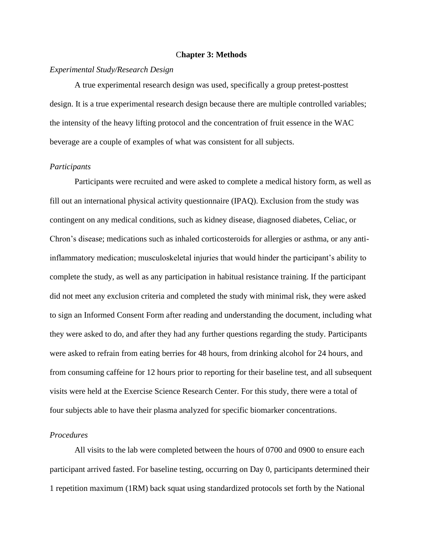## C**hapter 3: Methods**

## *Experimental Study/Research Design*

A true experimental research design was used, specifically a group pretest-posttest design. It is a true experimental research design because there are multiple controlled variables; the intensity of the heavy lifting protocol and the concentration of fruit essence in the WAC beverage are a couple of examples of what was consistent for all subjects.

## *Participants*

Participants were recruited and were asked to complete a medical history form, as well as fill out an international physical activity questionnaire (IPAQ). Exclusion from the study was contingent on any medical conditions, such as kidney disease, diagnosed diabetes, Celiac, or Chron's disease; medications such as inhaled corticosteroids for allergies or asthma, or any antiinflammatory medication; musculoskeletal injuries that would hinder the participant's ability to complete the study, as well as any participation in habitual resistance training. If the participant did not meet any exclusion criteria and completed the study with minimal risk, they were asked to sign an Informed Consent Form after reading and understanding the document, including what they were asked to do, and after they had any further questions regarding the study. Participants were asked to refrain from eating berries for 48 hours, from drinking alcohol for 24 hours, and from consuming caffeine for 12 hours prior to reporting for their baseline test, and all subsequent visits were held at the Exercise Science Research Center. For this study, there were a total of four subjects able to have their plasma analyzed for specific biomarker concentrations.

## *Procedures*

All visits to the lab were completed between the hours of 0700 and 0900 to ensure each participant arrived fasted. For baseline testing, occurring on Day 0, participants determined their 1 repetition maximum (1RM) back squat using standardized protocols set forth by the National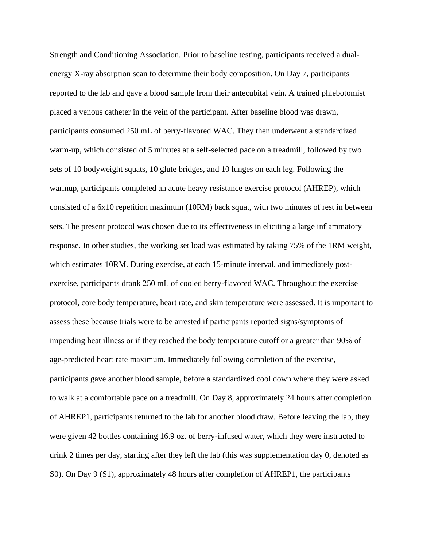Strength and Conditioning Association. Prior to baseline testing, participants received a dualenergy X-ray absorption scan to determine their body composition. On Day 7, participants reported to the lab and gave a blood sample from their antecubital vein. A trained phlebotomist placed a venous catheter in the vein of the participant. After baseline blood was drawn, participants consumed 250 mL of berry-flavored WAC. They then underwent a standardized warm-up, which consisted of 5 minutes at a self-selected pace on a treadmill, followed by two sets of 10 bodyweight squats, 10 glute bridges, and 10 lunges on each leg. Following the warmup, participants completed an acute heavy resistance exercise protocol (AHREP), which consisted of a 6x10 repetition maximum (10RM) back squat, with two minutes of rest in between sets. The present protocol was chosen due to its effectiveness in eliciting a large inflammatory response. In other studies, the working set load was estimated by taking 75% of the 1RM weight, which estimates 10RM. During exercise, at each 15-minute interval, and immediately postexercise, participants drank 250 mL of cooled berry-flavored WAC. Throughout the exercise protocol, core body temperature, heart rate, and skin temperature were assessed. It is important to assess these because trials were to be arrested if participants reported signs/symptoms of impending heat illness or if they reached the body temperature cutoff or a greater than 90% of age-predicted heart rate maximum. Immediately following completion of the exercise, participants gave another blood sample, before a standardized cool down where they were asked to walk at a comfortable pace on a treadmill. On Day 8, approximately 24 hours after completion of AHREP1, participants returned to the lab for another blood draw. Before leaving the lab, they were given 42 bottles containing 16.9 oz. of berry-infused water, which they were instructed to drink 2 times per day, starting after they left the lab (this was supplementation day 0, denoted as S0). On Day 9 (S1), approximately 48 hours after completion of AHREP1, the participants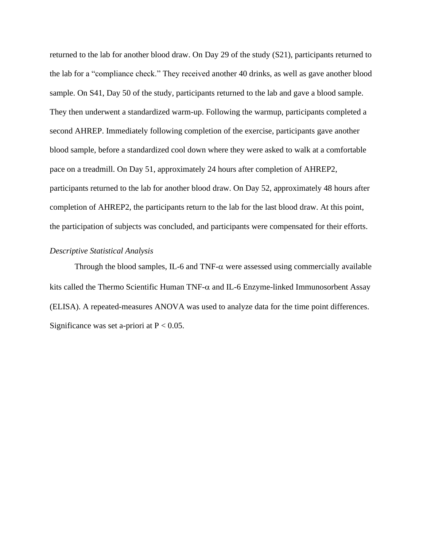returned to the lab for another blood draw. On Day 29 of the study (S21), participants returned to the lab for a "compliance check." They received another 40 drinks, as well as gave another blood sample. On S41, Day 50 of the study, participants returned to the lab and gave a blood sample. They then underwent a standardized warm-up. Following the warmup, participants completed a second AHREP. Immediately following completion of the exercise, participants gave another blood sample, before a standardized cool down where they were asked to walk at a comfortable pace on a treadmill. On Day 51, approximately 24 hours after completion of AHREP2, participants returned to the lab for another blood draw. On Day 52, approximately 48 hours after completion of AHREP2, the participants return to the lab for the last blood draw. At this point, the participation of subjects was concluded, and participants were compensated for their efforts.

## *Descriptive Statistical Analysis*

Through the blood samples, IL-6 and TNF- $\alpha$  were assessed using commercially available kits called the Thermo Scientific Human TNF- $\alpha$  and IL-6 Enzyme-linked Immunosorbent Assay (ELISA). A repeated-measures ANOVA was used to analyze data for the time point differences. Significance was set a-priori at  $P < 0.05$ .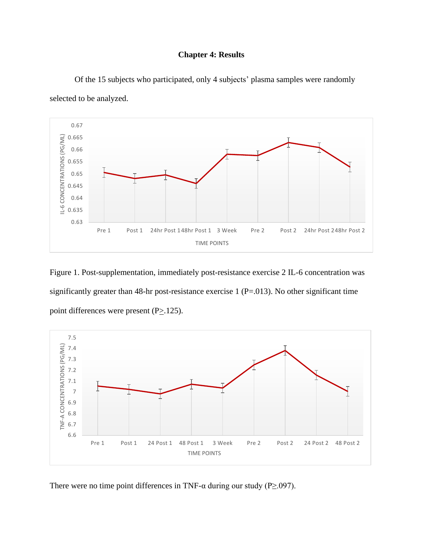## **Chapter 4: Results**



Of the 15 subjects who participated, only 4 subjects' plasma samples were randomly selected to be analyzed.

Figure 1. Post-supplementation, immediately post-resistance exercise 2 IL-6 concentration was significantly greater than 48-hr post-resistance exercise 1 (P=.013). No other significant time point differences were present  $(P_2, 125)$ .



There were no time point differences in TNF- $\alpha$  during our study (P $\geq$ .097).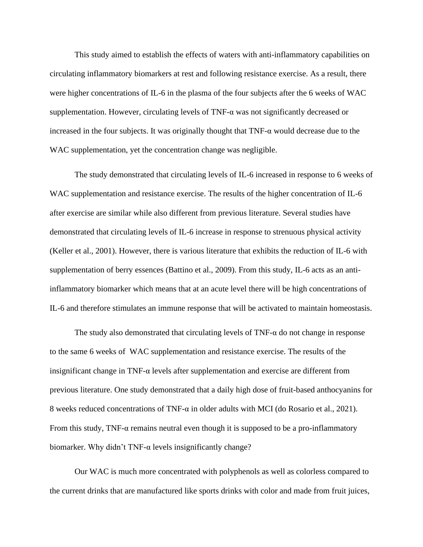This study aimed to establish the effects of waters with anti-inflammatory capabilities on circulating inflammatory biomarkers at rest and following resistance exercise. As a result, there were higher concentrations of IL-6 in the plasma of the four subjects after the 6 weeks of WAC supplementation. However, circulating levels of TNF- $\alpha$  was not significantly decreased or increased in the four subjects. It was originally thought that  $TNF-\alpha$  would decrease due to the WAC supplementation, yet the concentration change was negligible.

The study demonstrated that circulating levels of IL-6 increased in response to 6 weeks of WAC supplementation and resistance exercise. The results of the higher concentration of IL-6 after exercise are similar while also different from previous literature. Several studies have demonstrated that circulating levels of IL-6 increase in response to strenuous physical activity (Keller et al., 2001). However, there is various literature that exhibits the reduction of IL-6 with supplementation of berry essences (Battino et al., 2009). From this study, IL-6 acts as an antiinflammatory biomarker which means that at an acute level there will be high concentrations of IL-6 and therefore stimulates an immune response that will be activated to maintain homeostasis.

The study also demonstrated that circulating levels of TNF- $\alpha$  do not change in response to the same 6 weeks of WAC supplementation and resistance exercise. The results of the insignificant change in TNF-α levels after supplementation and exercise are different from previous literature. One study demonstrated that a daily high dose of fruit-based anthocyanins for 8 weeks reduced concentrations of TNF- $\alpha$  in older adults with MCI (do Rosario et al., 2021). From this study, TNF-α remains neutral even though it is supposed to be a pro-inflammatory biomarker. Why didn't TNF- $\alpha$  levels insignificantly change?

Our WAC is much more concentrated with polyphenols as well as colorless compared to the current drinks that are manufactured like sports drinks with color and made from fruit juices,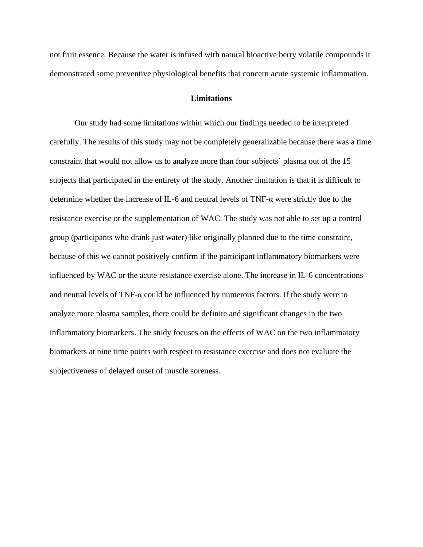not fruit essence. Because the water is infused with natural bioactive berry volatile compounds it demonstrated some preventive physiological benefits that concern acute systemic inflammation.

## **Limitations**

Our study had some limitations within which our findings needed to be interpreted carefully. The results of this study may not be completely generalizable because there was a time constraint that would not allow us to analyze more than four subjects' plasma out of the 15 subjects that participated in the entirety of the study. Another limitation is that it is difficult to determine whether the increase of IL-6 and neutral levels of TNF-α were strictly due to the resistance exercise or the supplementation of WAC. The study was not able to set up a control group (participants who drank just water) like originally planned due to the time constraint, because of this we cannot positively confirm if the participant inflammatory biomarkers were influenced by WAC or the acute resistance exercise alone. The increase in IL-6 concentrations and neutral levels of TNF-α could be influenced by numerous factors. If the study were to analyze more plasma samples, there could be definite and significant changes in the two inflammatory biomarkers. The study focuses on the effects of WAC on the two inflammatory biomarkers at nine time points with respect to resistance exercise and does not evaluate the subjectiveness of delayed onset of muscle soreness.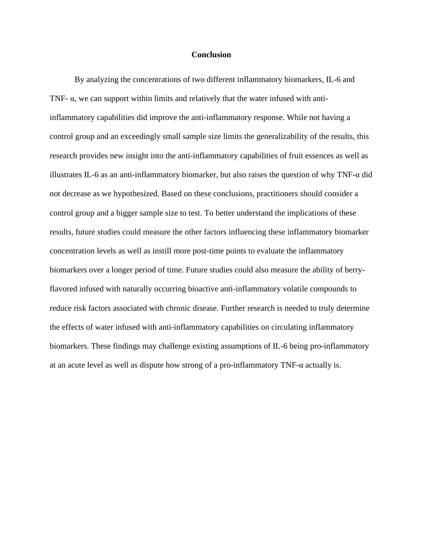### **Conclusion**

By analyzing the concentrations of two different inflammatory biomarkers, IL-6 and TNF- $\alpha$ , we can support within limits and relatively that the water infused with antiinflammatory capabilities did improve the anti-inflammatory response. While not having a control group and an exceedingly small sample size limits the generalizability of the results, this research provides new insight into the anti-inflammatory capabilities of fruit essences as well as illustrates IL-6 as an anti-inflammatory biomarker, but also raises the question of why TNF-α did not decrease as we hypothesized. Based on these conclusions, practitioners should consider a control group and a bigger sample size to test. To better understand the implications of these results, future studies could measure the other factors influencing these inflammatory biomarker concentration levels as well as instill more post-time points to evaluate the inflammatory biomarkers over a longer period of time. Future studies could also measure the ability of berryflavored infused with naturally occurring bioactive anti-inflammatory volatile compounds to reduce risk factors associated with chronic disease. Further research is needed to truly determine the effects of water infused with anti-inflammatory capabilities on circulating inflammatory biomarkers. These findings may challenge existing assumptions of IL-6 being pro-inflammatory at an acute level as well as dispute how strong of a pro-inflammatory TNF-α actually is.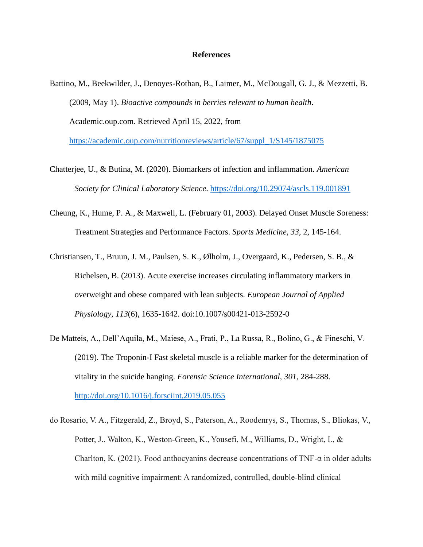## **References**

Battino, M., Beekwilder, J., Denoyes-Rothan, B., Laimer, M., McDougall, G. J., & Mezzetti, B. (2009, May 1). *Bioactive compounds in berries relevant to human health*. Academic.oup.com. Retrieved April 15, 2022, from

[https://academic.oup.com/nutritionreviews/article/67/suppl\\_1/S145/1875075](https://academic.oup.com/nutritionreviews/article/67/suppl_1/S145/1875075)

- Chatterjee, U., & Butina, M. (2020). Biomarkers of infection and inflammation. *American Society for Clinical Laboratory Science*.<https://doi.org/10.29074/ascls.119.001891>
- Cheung, K., Hume, P. A., & Maxwell, L. (February 01, 2003). Delayed Onset Muscle Soreness: Treatment Strategies and Performance Factors. *Sports Medicine, 33,* 2, 145-164.
- Christiansen, T., Bruun, J. M., Paulsen, S. K., Ølholm, J., Overgaard, K., Pedersen, S. B., & Richelsen, B. (2013). Acute exercise increases circulating inflammatory markers in overweight and obese compared with lean subjects. *European Journal of Applied Physiology, 113*(6), 1635-1642. doi:10.1007/s00421-013-2592-0
- De Matteis, A., Dell'Aquila, M., Maiese, A., Frati, P., La Russa, R., Bolino, G., & Fineschi, V. (2019). The Troponin-I Fast skeletal muscle is a reliable marker for the determination of vitality in the suicide hanging. *Forensic Science International, 301*, 284-288. <http://doi.org/10.1016/j.forsciint.2019.05.055>
- do Rosario, V. A., Fitzgerald, Z., Broyd, S., Paterson, A., Roodenrys, S., Thomas, S., Bliokas, V., Potter, J., Walton, K., Weston-Green, K., Yousefi, M., Williams, D., Wright, I., & Charlton, K. (2021). Food anthocyanins decrease concentrations of TNF- $\alpha$  in older adults with mild cognitive impairment: A randomized, controlled, double-blind clinical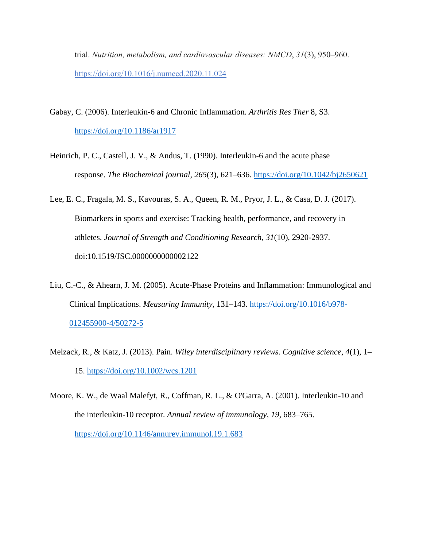trial. *Nutrition, metabolism, and cardiovascular diseases: NMCD*, *31*(3), 950–960. <https://doi.org/10.1016/j.numecd.2020.11.024>

- Gabay, C. (2006). Interleukin-6 and Chronic Inflammation. *Arthritis Res Ther* 8, S3. <https://doi.org/10.1186/ar1917>
- Heinrich, P. C., Castell, J. V., & Andus, T. (1990). Interleukin-6 and the acute phase response. *The Biochemical journal*, *265*(3), 621–636.<https://doi.org/10.1042/bj2650621>
- Lee, E. C., Fragala, M. S., Kavouras, S. A., Queen, R. M., Pryor, J. L., & Casa, D. J. (2017). Biomarkers in sports and exercise: Tracking health, performance, and recovery in athletes. *Journal of Strength and Conditioning Research, 31*(10), 2920-2937. doi:10.1519/JSC.0000000000002122
- Liu, C.-C., & Ahearn, J. M. (2005). Acute-Phase Proteins and Inflammation: Immunological and Clinical Implications. *Measuring Immunity*, 131–143. [https://doi.org/10.1016/b978-](https://doi.org/10.1016/b978-012455900-4/50272-5) [012455900-4/50272-5](https://doi.org/10.1016/b978-012455900-4/50272-5)
- Melzack, R., & Katz, J. (2013). Pain. *Wiley interdisciplinary reviews. Cognitive science*, *4*(1), 1– 15.<https://doi.org/10.1002/wcs.1201>
- Moore, K. W., de Waal Malefyt, R., Coffman, R. L., & O'Garra, A. (2001). Interleukin-10 and the interleukin-10 receptor. *Annual review of immunology*, *19*, 683–765. <https://doi.org/10.1146/annurev.immunol.19.1.683>